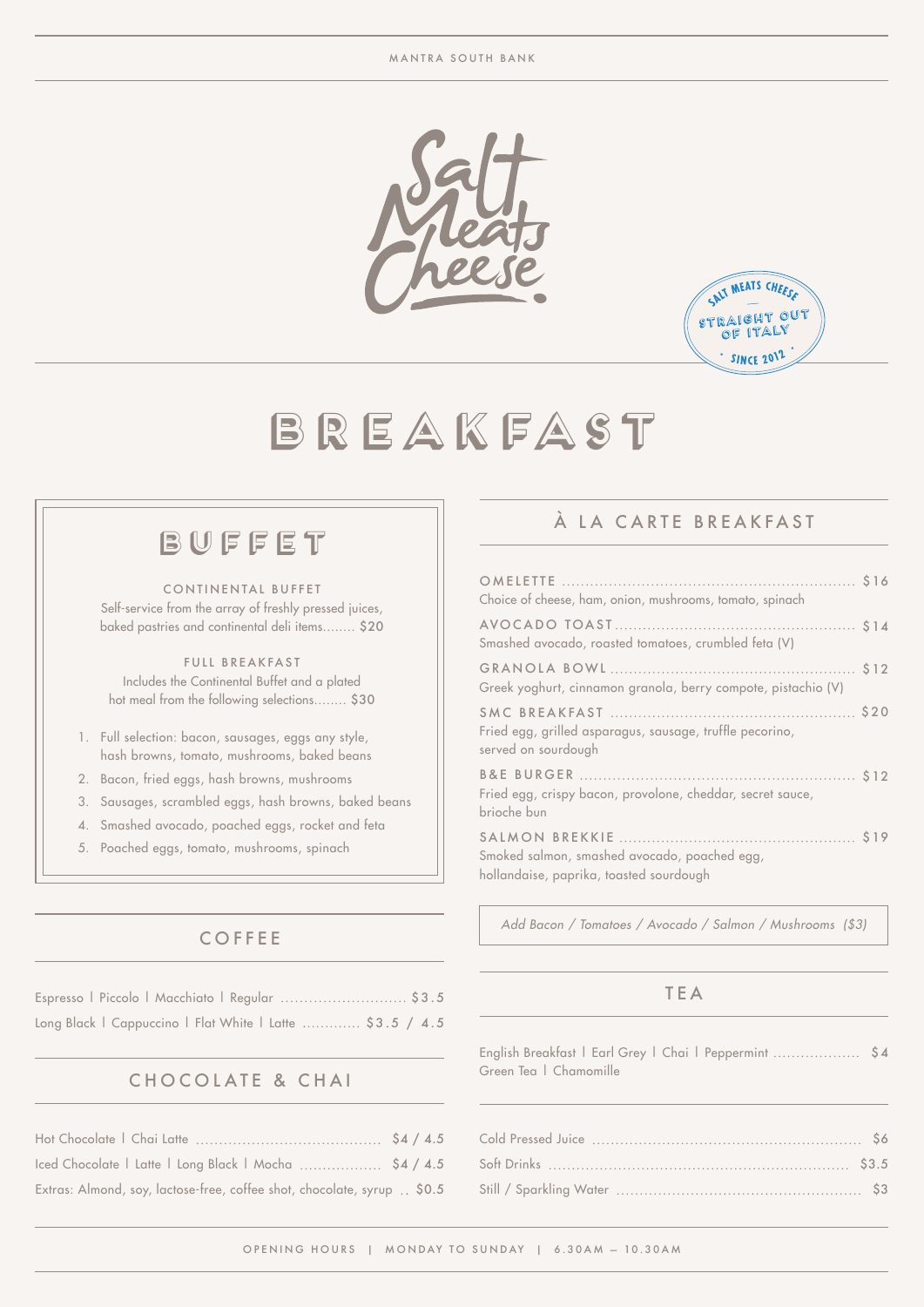



# BREAKFAST

# BUFFET

CONTINENTAL BUFFET Self-service from the array of freshly pressed juices,

baked pastries and continental deli items........ \$20

FULL BREAKFAST Includes the Continental Buffet and a plated hot meal from the following selections........ \$30

- 1. Full selection: bacon, sausages, eggs any style, hash browns, tomato, mushrooms, baked beans
- 2. Bacon, fried eggs, hash browns, mushrooms
- 3. Sausages, scrambled eggs, hash browns, baked beans
- Smashed avocado, poached eggs, rocket and feta 4.
- Poached eggs, tomato, mushrooms, spinach 5.

## **COFFEE**

| Espresso   Piccolo   Macchiato   Regular  \$3.5           |  |
|-----------------------------------------------------------|--|
| Long Black   Cappuccino   Flat White   Latte  \$3.5 / 4.5 |  |

# CHOCOLATE & CHAI

| Iced Chocolate   Latte   Long Black   Mocha  \$4 / 4.5                  |  |
|-------------------------------------------------------------------------|--|
| Extras: Almond, soy, lactose-free, coffee shot, chocolate, syrup  \$0.5 |  |

### À LA CARTE BREAKFAST

| Choice of cheese, ham, onion, mushrooms, tomato, spinach                                |  |
|-----------------------------------------------------------------------------------------|--|
| Smashed avocado, roasted tomatoes, crumbled feta (V)                                    |  |
| Greek yoghurt, cinnamon granola, berry compote, pistachio (V)                           |  |
| Fried egg, grilled asparagus, sausage, truffle pecorino,<br>served on sourdough         |  |
| Fried egg, crispy bacon, provolone, cheddar, secret sauce,<br>brioche bun               |  |
| Smoked salmon, smashed avocado, poached egg,<br>hollandaise, paprika, toasted sourdough |  |

*Add Bacon / Tomatoes / Avocado / Salmon / Mushrooms (\$3)*

## TEA

English Breakfast | Earl Grey | Chai | Peppermint ................... \$4 Green Tea | Chamomille